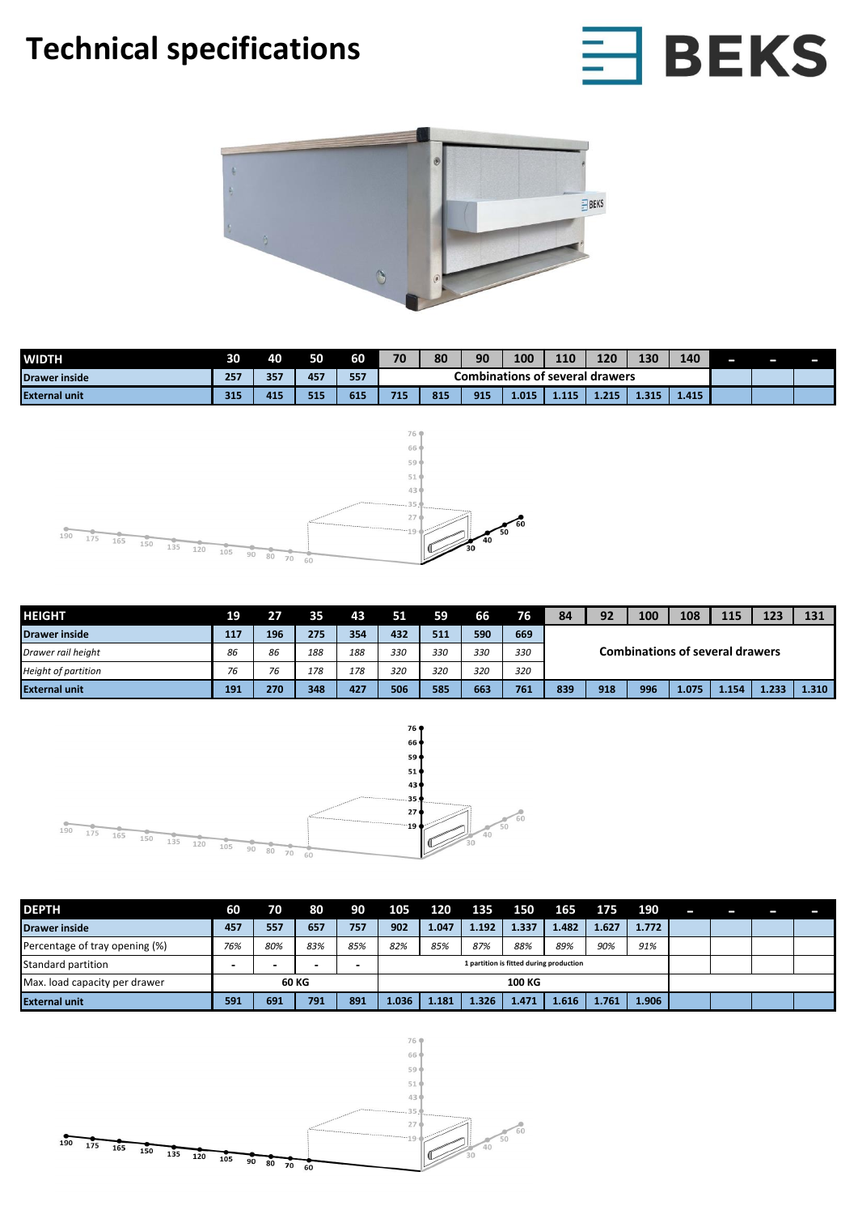## **Technical specifications**





| <b>WIDTH</b>         | 30  | 40  | 50  | 60  | 70                              | 80  | 90  | 100   | 110   | 120   | 130   | 140   | - | — | – |
|----------------------|-----|-----|-----|-----|---------------------------------|-----|-----|-------|-------|-------|-------|-------|---|---|---|
| Drawer inside        | 257 | 357 | 457 | 557 | Combinations of several drawers |     |     |       |       |       |       |       |   |   |   |
| <b>External unit</b> | 315 | 415 | 515 | 615 | 715                             | 815 | 915 | 1.015 | 1.115 | 1.215 | 1.315 | 1.415 |   |   |   |



| <b>HEIGHT</b>              | 19  | 27  | 35  | 43  | 51  | 59  | 66  | 76' | 84                                     | 92  | 100 | 108   | 115   | 123   | 131   |  |  |  |  |
|----------------------------|-----|-----|-----|-----|-----|-----|-----|-----|----------------------------------------|-----|-----|-------|-------|-------|-------|--|--|--|--|
| <b>Drawer inside</b>       | 117 | 196 | 275 | 354 | 432 | 511 | 590 | 669 | <b>Combinations of several drawers</b> |     |     |       |       |       |       |  |  |  |  |
| Drawer rail height         | 86  | 86  | 188 | 188 | 330 | 330 | 330 | 330 |                                        |     |     |       |       |       |       |  |  |  |  |
| <b>Height of partition</b> | 76  | 76  | 178 | 178 | 320 | 320 | 320 | 320 |                                        |     |     |       |       |       |       |  |  |  |  |
| <b>External unit</b>       | 191 | 270 | 348 | 427 | 506 | 585 | 663 | 761 | 839                                    | 918 | 996 | 1.075 | 1.154 | 4.233 | 1.310 |  |  |  |  |



| <b>DEPTH</b>                   | 60                       | 70  | 80    | 90  | 105   | 120                                     | 135   | 150   | 165   | 175   | 190   | - |  |  |
|--------------------------------|--------------------------|-----|-------|-----|-------|-----------------------------------------|-------|-------|-------|-------|-------|---|--|--|
| <b>Drawer inside</b>           | 457                      | 557 | 657   | 757 | 902   | 1.047                                   | 1.192 | 1.337 | 1.482 | 1.627 | 1.772 |   |  |  |
| Percentage of tray opening (%) | 76%                      | 80% | 83%   | 85% | 82%   | 85%                                     | 87%   | 88%   | 89%   | 90%   | 91%   |   |  |  |
| Standard partition             | $\overline{\phantom{0}}$ | -   | -     |     |       | 1 partition is fitted during production |       |       |       |       |       |   |  |  |
| Max. load capacity per drawer  |                          |     | 60 KG |     |       |                                         |       |       |       |       |       |   |  |  |
| <b>External unit</b>           | 591                      | 691 | 791   | 891 | 1.036 | 1.181                                   | 1.326 | 1.471 | 1.616 | 1.761 | 1.906 |   |  |  |